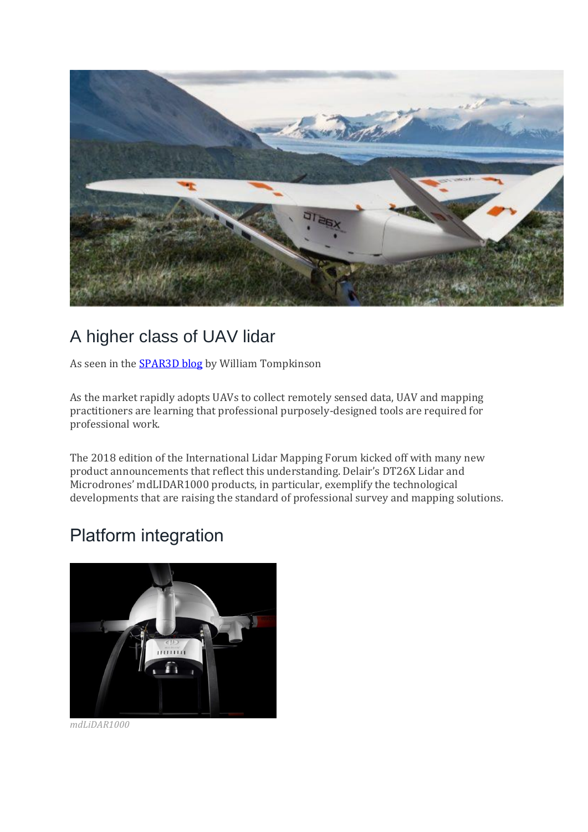

# A higher class of UAV lidar

As seen in the **SPAR3D blog** by William Tompkinson

As the market rapidly adopts UAVs to collect remotely sensed data, UAV and mapping practitioners are learning that professional purposely-designed tools are required for professional work.

The 2018 edition of the International Lidar Mapping Forum kicked off with many new product announcements that reflect this understanding. Delair's DT26X Lidar and Microdrones' mdLIDAR1000 products, in particular, exemplify the technological developments that are raising the standard of professional survey and mapping solutions.

## Platform integration



*mdLiDAR1000*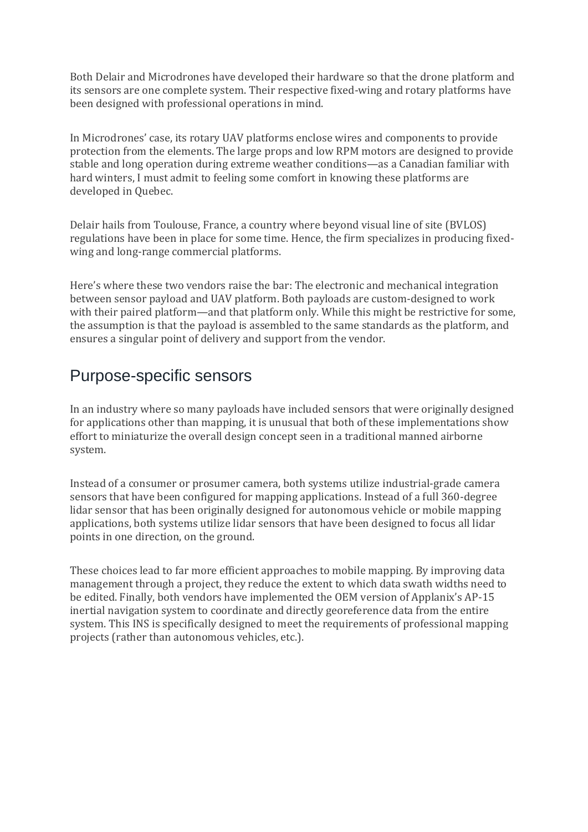Both Delair and Microdrones have developed their hardware so that the drone platform and its sensors are one complete system. Their respective fixed-wing and rotary platforms have been designed with professional operations in mind.

In Microdrones' case, its rotary UAV platforms enclose wires and components to provide protection from the elements. The large props and low RPM motors are designed to provide stable and long operation during extreme weather conditions—as a Canadian familiar with hard winters, I must admit to feeling some comfort in knowing these platforms are developed in Quebec.

Delair hails from Toulouse, France, a country where beyond visual line of site (BVLOS) regulations have been in place for some time. Hence, the firm specializes in producing fixedwing and long-range commercial platforms.

Here's where these two vendors raise the bar: The electronic and mechanical integration between sensor payload and UAV platform. Both payloads are custom-designed to work with their paired platform—and that platform only. While this might be restrictive for some, the assumption is that the payload is assembled to the same standards as the platform, and ensures a singular point of delivery and support from the vendor.

#### Purpose-specific sensors

In an industry where so many payloads have included sensors that were originally designed for applications other than mapping, it is unusual that both of these implementations show effort to miniaturize the overall design concept seen in a traditional manned airborne system.

Instead of a consumer or prosumer camera, both systems utilize industrial-grade camera sensors that have been configured for mapping applications. Instead of a full 360-degree lidar sensor that has been originally designed for autonomous vehicle or mobile mapping applications, both systems utilize lidar sensors that have been designed to focus all lidar points in one direction, on the ground.

These choices lead to far more efficient approaches to mobile mapping. By improving data management through a project, they reduce the extent to which data swath widths need to be edited. Finally, both vendors have implemented the OEM version of Applanix's AP-15 inertial navigation system to coordinate and directly georeference data from the entire system. This INS is specifically designed to meet the requirements of professional mapping projects (rather than autonomous vehicles, etc.).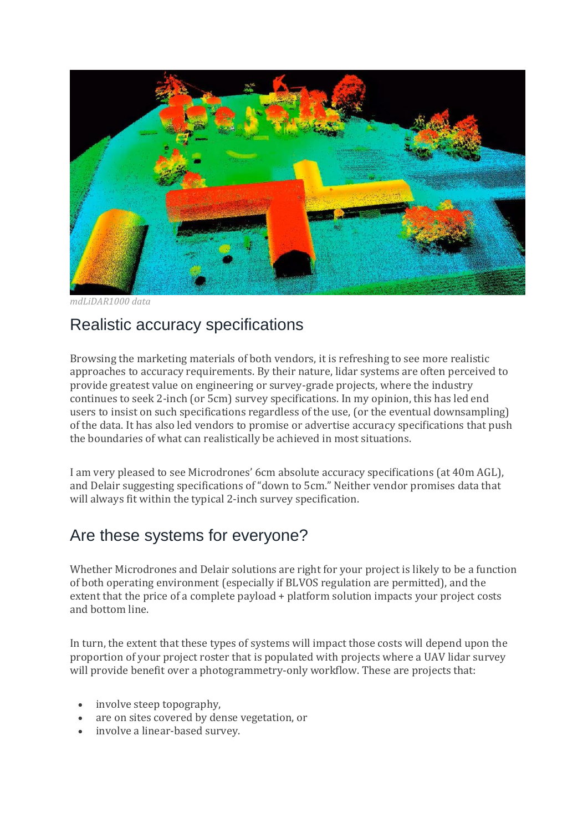

*mdLiDAR1000 data*

### Realistic accuracy specifications

Browsing the marketing materials of both vendors, it is refreshing to see more realistic approaches to accuracy requirements. By their nature, lidar systems are often perceived to provide greatest value on engineering or survey-grade projects, where the industry continues to seek 2-inch (or 5cm) survey specifications. In my opinion, this has led end users to insist on such specifications regardless of the use, (or the eventual downsampling) of the data. It has also led vendors to promise or advertise accuracy specifications that push the boundaries of what can realistically be achieved in most situations.

I am very pleased to see Microdrones' 6cm absolute accuracy specifications (at 40m AGL), and Delair suggesting specifications of "down to 5cm." Neither vendor promises data that will always fit within the typical 2-inch survey specification.

#### Are these systems for everyone?

Whether Microdrones and Delair solutions are right for your project is likely to be a function of both operating environment (especially if BLVOS regulation are permitted), and the extent that the price of a complete payload + platform solution impacts your project costs and bottom line.

In turn, the extent that these types of systems will impact those costs will depend upon the proportion of your project roster that is populated with projects where a UAV lidar survey will provide benefit over a photogrammetry-only workflow. These are projects that:

- involve steep topography,
- are on sites covered by dense vegetation, or
- involve a linear-based survey.